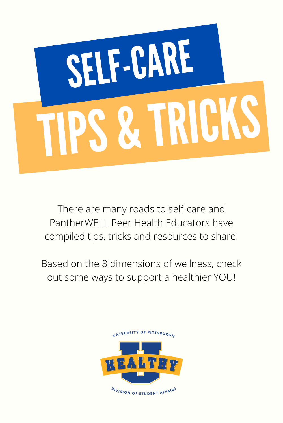

There are many roads to self-care and PantherWELL Peer Health Educators have compiled tips, tricks and resources to share!

Based on the 8 dimensions of wellness, check out some ways to support a healthier YOU!

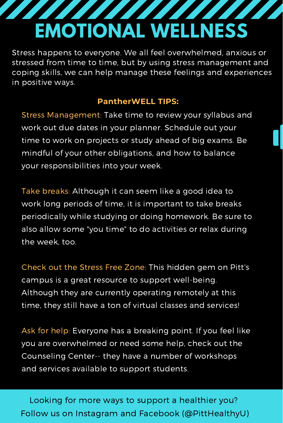# **EMOTIONAL WELLNESS**

Stress happens to everyone. We all feel overwhelmed, anxious or stressed from time to time, but by using stress management and coping skills, we can help manage these feelings and experiences in positive ways.

### **PantherWELL TIPS:**

Stress Management: Take time to review your syllabus and work out due dates in your planner. Schedule out your time to work on projects or study ahead of big exams. Be mindful of your other obligations, and how to balance your responsibilities into your week.

Take breaks: Although it can seem like a good idea to work long periods of time, it is important to take breaks periodically while studying or doing homework. Be sure to also allow some "you time" to do activities or relax during the week, too.

Check out the Stress Free Zone: This hidden gem on Pitt's campus is a great resource to support well-being. Although they are currently operating remotely at this time, they still have a ton of virtual classes and services!

Ask for help: Everyone has a breaking point. If you feel like you are overwhelmed or need some help, check out the Counseling Center-- they have a number of workshops and services available to support students.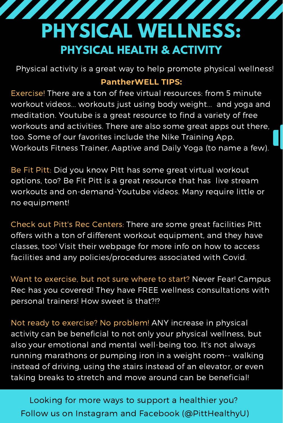### **PHYSICAL WELLNESS: PHYSICAL HEALTH & ACTIVITY**

Physical activity is a great way to help promote physical wellness!

### **PantherWELL TIPS:**

Exercise! There are a ton of free virtual resources: from 5 minute workout videos... workouts just using body weight... and yoga and meditation. Youtube is a great resource to find a variety of free workouts and activities. There are also some great apps out there, too. Some of our favorites include the Nike Training App, Workouts Fitness Trainer, Aaptive and Daily Yoga (to name a few).

Be Fit Pitt: Did you know Pitt has some great virtual workout options, too? Be Fit Pitt is a great resource that has live stream workouts and on-demand-Youtube videos. Many require little or no equipment!

Check out Pitt's Rec Centers: There are some great facilities Pitt offers with a ton of different workout equipment, and they have classes, too! Visit their webpage for more info on how to access facilities and any policies/procedures associated with Covid.

Want to exercise, but not sure where to start? Never Fear! Campus Rec has you covered! They have FREE wellness consultations with personal trainers! How sweet is that?!?

Not ready to exercise? No problem! ANY increase in physical activity can be beneficial to not only your physical wellness, but also your emotional and mental well-being too. It's not always running marathons or pumping iron in a weight room-- walking instead of driving, using the stairs instead of an elevator, or even taking breaks to stretch and move around can be beneficial!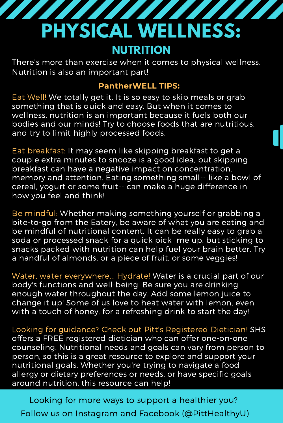### **PHYSICAL WELLNESS: NUTRITION**

There's more than exercise when it comes to physical wellness. Nutrition is also an important part!

### **PantherWELL TIPS:**

Eat Well! We totally get it. It is so easy to skip meals or grab something that is quick and easy. But when it comes to wellness, nutrition is an important because it fuels both our bodies and our minds! Try to choose foods that are nutritious, and try to limit highly processed foods.

Eat breakfast: It may seem like skipping breakfast to get a couple extra minutes to snooze is a good idea, but skipping breakfast can have a negative impact on concentration, memory and attention. Eating something small-- like a bowl of cereal, yogurt or some fruit-- can make a huge difference in how you feel and think!

Be mindful: Whether making something yourself or grabbing a bite-to-go from the Eatery, be aware of what you are eating and be mindful of nutritional content. It can be really easy to grab a soda or processed snack for a quick pick me up, but sticking to snacks packed with nutrition can help fuel your brain better. Try a handful of almonds, or a piece of fruit, or some veggies!

Water, water everywhere... Hydrate! Water is a crucial part of our body's functions and well-being. Be sure you are drinking enough water throughout the day. Add some lemon juice to change it up! Some of us love to heat water with lemon, even with a touch of honey, for a refreshing drink to start the day!

Looking for guidance? Check out Pitt's Registered Dietician! SHS offers a FREE registered dietician who can offer one-on-one counseling. Nutritional needs and goals can vary from person to person, so this is a great resource to explore and support your nutritional goals. Whether you're trying to navigate a food allergy or dietary preferences or needs, or have specific goals around nutrition, this resource can help!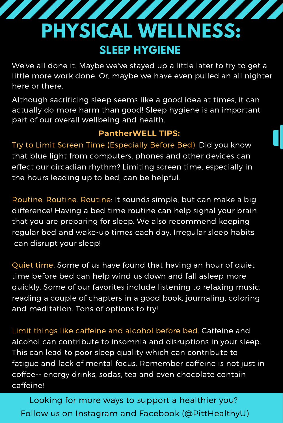### **PHYSICAL WELLNESS: SLEEP HYGIENE**

We've all done it. Maybe we've stayed up a little later to try to get a little more work done. Or, maybe we have even pulled an all nighter here or there.

Although sacrificing sleep seems like a good idea at times, it can actually do more harm than good! Sleep hygiene is an important part of our overall wellbeing and health.

### **PantherWELL TIPS:**

Try to Limit Screen Time (Especially Before Bed): Did you know that blue light from computers, phones and other devices can effect our circadian rhythm? Limiting screen time, especially in the hours leading up to bed, can be helpful.

Routine. Routine. Routine: It sounds simple, but can make a big difference! Having a bed time routine can help signal your brain that you are preparing for sleep. We also recommend keeping regular bed and wake-up times each day. Irregular sleep habits can disrupt your sleep!

Quiet time. Some of us have found that having an hour of quiet time before bed can help wind us down and fall asleep more quickly. Some of our favorites include listening to relaxing music, reading a couple of chapters in a good book, journaling, coloring and meditation. Tons of options to try!

Limit things like caffeine and alcohol before bed. Caffeine and alcohol can contribute to insomnia and disruptions in your sleep. This can lead to poor sleep quality which can contribute to fatigue and lack of mental focus. Remember caffeine is not just in coffee-- energy drinks, sodas, tea and even chocolate contain caffeine!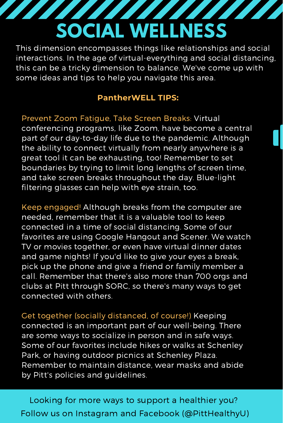## **SOCIAL WELLNESS**

This dimension encompasses things like relationships and social interactions. In the age of virtual-everything and social distancing, this can be a tricky dimension to balance. We've come up with some ideas and tips to help you navigate this area.

#### **PantherWELL TIPS:**

Prevent Zoom Fatigue, Take Screen Breaks: Virtual conferencing programs, like Zoom, have become a central part of our day-to-day life due to the pandemic. Although the ability to connect virtually from nearly anywhere is a great tool it can be exhausting, too! Remember to set boundaries by trying to limit long lengths of screen time, and take screen breaks throughout the day. Blue-light filtering glasses can help with eye strain, too.

Keep engaged! Although breaks from the computer are needed, remember that it is a valuable tool to keep connected in a time of social distancing. Some of our favorites are using Google Hangout and Scener. We watch TV or movies together, or even have virtual dinner dates and game nights! If you'd like to give your eyes a break, pick up the phone and give a friend or family member a call. Remember that there's also more than 700 orgs and clubs at Pitt through SORC, so there's many ways to get connected with others.

Get together (socially distanced, of course!) Keeping connected is an important part of our well-being. There are some ways to socialize in person and in safe ways. Some of our favorites include hikes or walks at Schenley Park, or having outdoor picnics at Schenley Plaza. Remember to maintain distance, wear masks and abide by Pitt's policies and guidelines.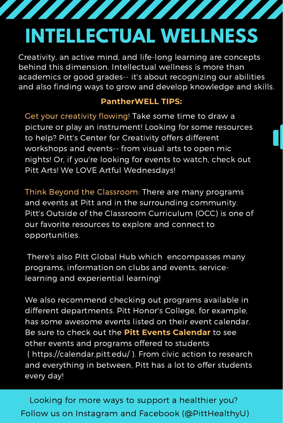## **INTELLECTUAL WELLNESS**

**TATALIAN AND PERSONAL PROPERTY PERSONAL PROPERTY PROPERTY** 

Creativity, an active mind, and life-long learning are concepts behind this dimension. Intellectual wellness is more than academics or good grades-- it's about recognizing our abilities and also finding ways to grow and develop knowledge and skills.

### **PantherWELL TIPS:**

Get your creativity flowing! Take some time to draw a picture or play an instrument! Looking for some resources to help? Pitt's Center for Creativity offers different workshops and events-- from visual arts to open mic nights! Or, if you're looking for events to watch, check out Pitt Arts! We LOVE Artful Wednesdays!

Think Beyond the Classroom: There are many programs and events at Pitt and in the surrounding community. Pitt's Outside of the Classroom Curriculum (OCC) is one of our favorite resources to explore and connect to opportunities.

There's also Pitt Global Hub which encompasses many programs, information on clubs and events, servicelearning and experiential learning!

We also recommend checking out programs available in different departments. Pitt Honor's College, for example, has some awesome events listed on their event calendar. Be sure to check out the **Pitt Events Calendar** to see other events and programs offered to students ( https://calendar.pitt.edu/ ). From civic action to research and everything in between, Pitt has a lot to offer students every day!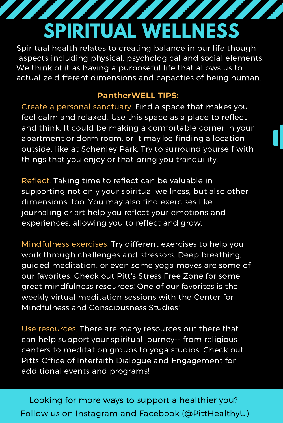## **SPIRITUAL WELLNESS**

Spiritual health relates to creating balance in our life though aspects including physical, psychological and social elements. We think of it as having a purposeful life that allows us to actualize different dimensions and capacties of being human.

### **PantherWELL TIPS:**

Create a personal sanctuary. Find a space that makes you feel calm and relaxed. Use this space as a place to reflect and think. It could be making a comfortable corner in your apartment or dorm room, or it may be finding a location outside, like at Schenley Park. Try to surround yourself with things that you enjoy or that bring you tranquility.

Reflect. Taking time to reflect can be valuable in supporting not only your spiritual wellness, but also other dimensions, too. You may also find exercises like journaling or art help you reflect your emotions and experiences, allowing you to reflect and grow.

Mindfulness exercises. Try different exercises to help you work through challenges and stressors. Deep breathing, guided meditation, or even some yoga moves are some of our favorites. Check out Pitt's Stress Free Zone for some great mindfulness resources! One of our favorites is the weekly virtual meditation sessions with the Center for Mindfulness and Consciousness Studies!

Use resources. There are many resources out there that can help support your spiritual journey-- from religious centers to meditation groups to yoga studios. Check out Pitts Office of Interfaith Dialogue and Engagement for additional events and programs!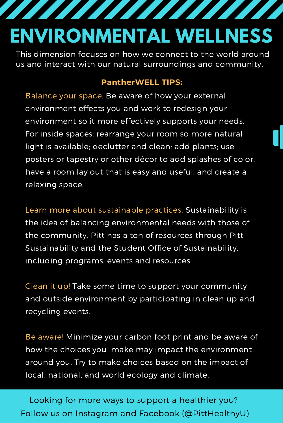## **ENVIRONMENTAL WELLNESS**

<u>The Marian School and the Communication of the Communication of the Communication of the Communication of the </u>

This dimension focuses on how we connect to the world around us and interact with our natural surroundings and community.

### **PantherWELL TIPS:**

Balance your space. Be aware of how your external environment effects you and work to redesign your environment so it more effectively supports your needs. For inside spaces: rearrange your room so more natural light is available; declutter and clean; add plants; use posters or tapestry or other décor to add splashes of color; have a room lay out that is easy and useful; and create a relaxing space.

Learn more about sustainable practices. Sustainability is the idea of balancing environmental needs with those of the community. Pitt has a ton of resources through Pitt Sustainability and the Student Office of Sustainability, including programs, events and resources.

Clean it up! Take some time to support your community and outside environment by participating in clean up and recycling events.

Be aware! Minimize your carbon foot print and be aware of how the choices you make may impact the environment around you. Try to make choices based on the impact of local, national, and world ecology and climate.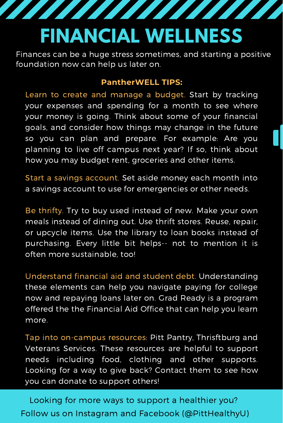### **FINANCIAL WELLNESS**

<u> The Marian School and School and School and School and School and School and School and School and School and</u>

Finances can be a huge stress sometimes, and starting a positive foundation now can help us later on.

#### **PantherWELL TIPS:**

Learn to create and manage a budget. Start by tracking your expenses and spending for a month to see where your money is going. Think about some of your financial goals, and consider how things may change in the future so you can plan and prepare. For example: Are you planning to live off campus next year? If so, think about how you may budget rent, groceries and other items.

Start a savings account. Set aside money each month into a savings account to use for emergencies or other needs.

Be thrifty. Try to buy used instead of new. Make your own meals instead of dining out. Use thrift stores. Reuse, repair, or upcycle items. Use the library to loan books instead of purchasing. Every little bit helps-- not to mention it is often more sustainable, too!

Understand financial aid and student debt. Understanding these elements can help you navigate paying for college now and repaying loans later on. Grad Ready is a program offered the the Financial Aid Office that can help you learn more.

Tap into on-campus resources: Pitt Pantry, Thrisftburg and Veterans Services. These resources are helpful to support needs including food, clothing and other supports. Looking for a way to give back? Contact them to see how you can donate to support others!